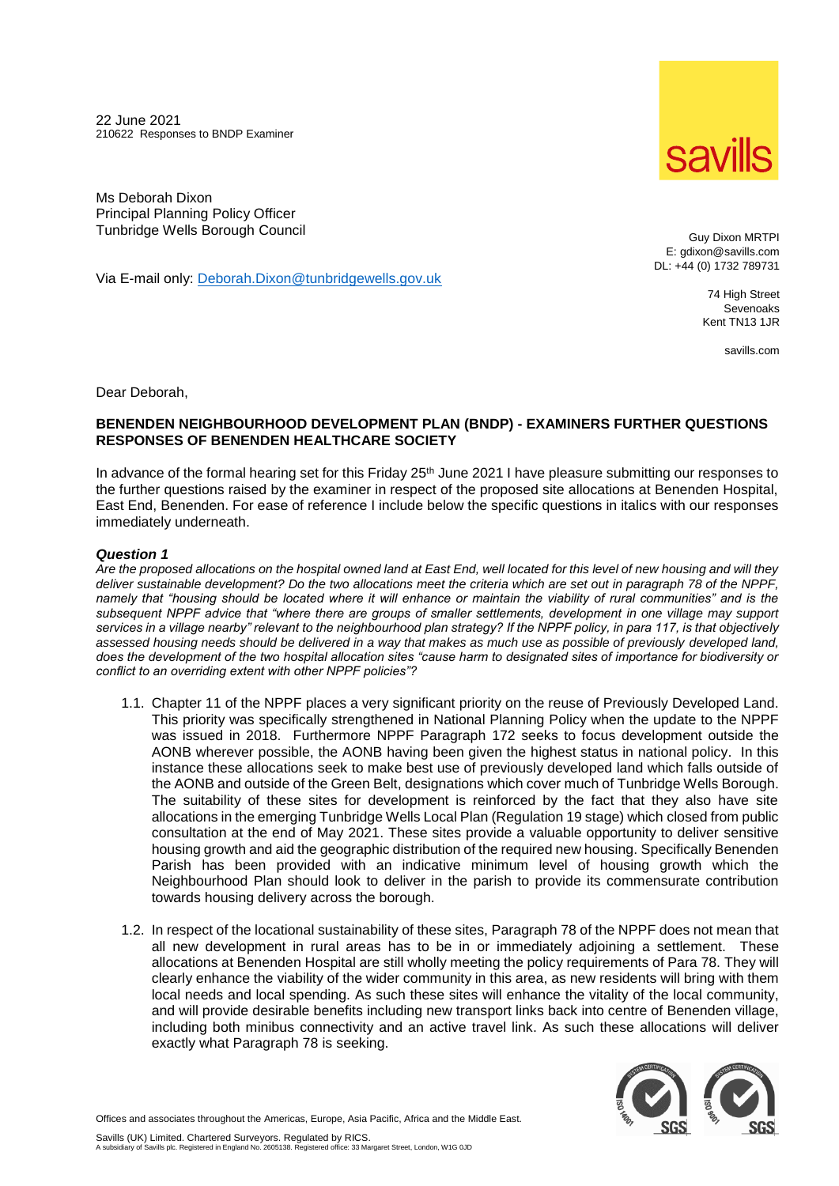22 June 2021 210622 Responses to BNDP Examiner



Ms Deborah Dixon Principal Planning Policy Officer Tunbridge Wells Borough Council

Via E-mail only: [Deborah.Dixon@tunbridgewells.gov.uk](mailto:Deborah.Dixon@tunbridgewells.gov.uk)

Guy Dixon MRTPI E: gdixon@savills.com DL: +44 (0) 1732 789731

> 74 High Street Sevenoaks Kent TN13 1JR

> > savills.com

Dear Deborah,

## **BENENDEN NEIGHBOURHOOD DEVELOPMENT PLAN (BNDP) - EXAMINERS FURTHER QUESTIONS RESPONSES OF BENENDEN HEALTHCARE SOCIETY**

In advance of the formal hearing set for this Friday  $25<sup>th</sup>$  June 2021 I have pleasure submitting our responses to the further questions raised by the examiner in respect of the proposed site allocations at Benenden Hospital, East End, Benenden. For ease of reference I include below the specific questions in italics with our responses immediately underneath.

### *Question 1*

*Are the proposed allocations on the hospital owned land at East End, well located for this level of new housing and will they deliver sustainable development? Do the two allocations meet the criteria which are set out in paragraph 78 of the NPPF, namely that "housing should be located where it will enhance or maintain the viability of rural communities" and is the subsequent NPPF advice that "where there are groups of smaller settlements, development in one village may support services in a village nearby" relevant to the neighbourhood plan strategy? If the NPPF policy, in para 117, is that objectively assessed housing needs should be delivered in a way that makes as much use as possible of previously developed land, does the development of the two hospital allocation sites "cause harm to designated sites of importance for biodiversity or conflict to an overriding extent with other NPPF policies"?*

- 1.1. Chapter 11 of the NPPF places a very significant priority on the reuse of Previously Developed Land. This priority was specifically strengthened in National Planning Policy when the update to the NPPF was issued in 2018. Furthermore NPPF Paragraph 172 seeks to focus development outside the AONB wherever possible, the AONB having been given the highest status in national policy. In this instance these allocations seek to make best use of previously developed land which falls outside of the AONB and outside of the Green Belt, designations which cover much of Tunbridge Wells Borough. The suitability of these sites for development is reinforced by the fact that they also have site allocations in the emerging Tunbridge Wells Local Plan (Regulation 19 stage) which closed from public consultation at the end of May 2021. These sites provide a valuable opportunity to deliver sensitive housing growth and aid the geographic distribution of the required new housing. Specifically Benenden Parish has been provided with an indicative minimum level of housing growth which the Neighbourhood Plan should look to deliver in the parish to provide its commensurate contribution towards housing delivery across the borough.
- 1.2. In respect of the locational sustainability of these sites, Paragraph 78 of the NPPF does not mean that all new development in rural areas has to be in or immediately adjoining a settlement. These allocations at Benenden Hospital are still wholly meeting the policy requirements of Para 78. They will clearly enhance the viability of the wider community in this area, as new residents will bring with them local needs and local spending. As such these sites will enhance the vitality of the local community, and will provide desirable benefits including new transport links back into centre of Benenden village, including both minibus connectivity and an active travel link. As such these allocations will deliver exactly what Paragraph 78 is seeking.



Offices and associates throughout the Americas, Europe, Asia Pacific, Africa and the Middle East.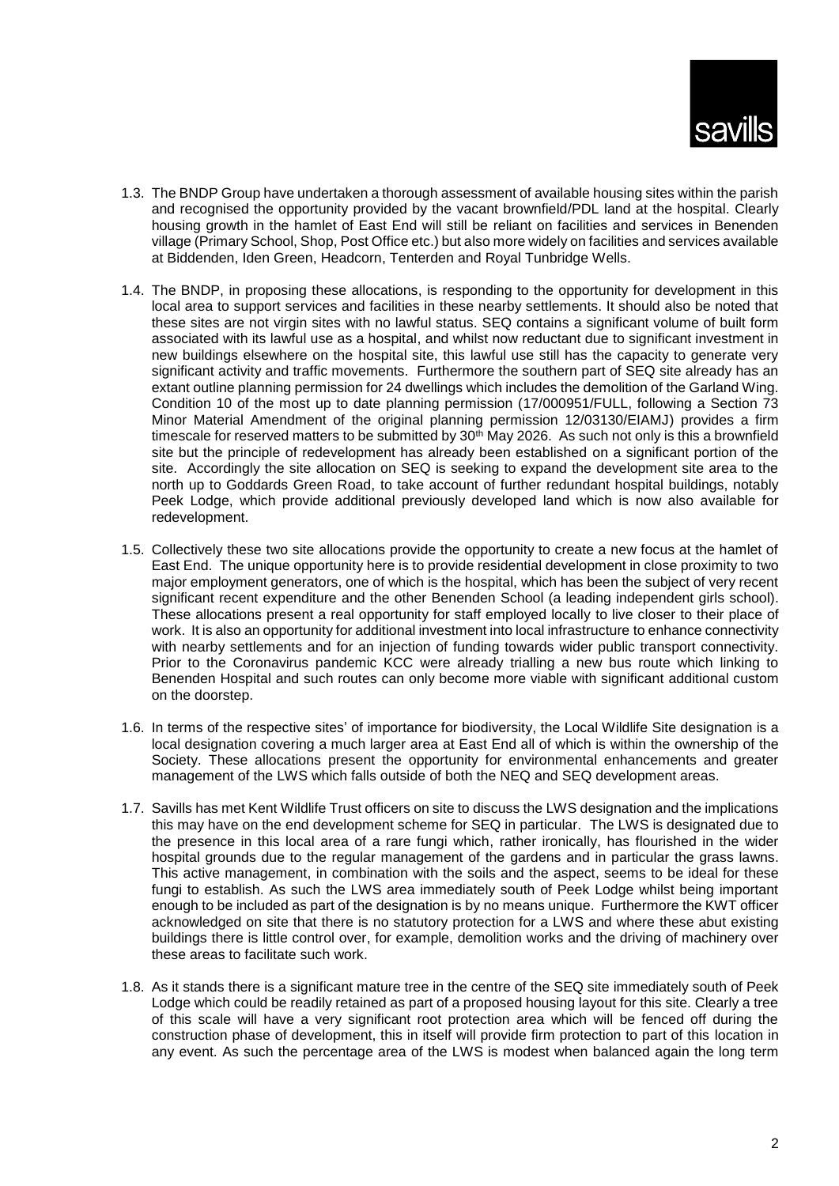

- 1.3. The BNDP Group have undertaken a thorough assessment of available housing sites within the parish and recognised the opportunity provided by the vacant brownfield/PDL land at the hospital. Clearly housing growth in the hamlet of East End will still be reliant on facilities and services in Benenden village (Primary School, Shop, Post Office etc.) but also more widely on facilities and services available at Biddenden, Iden Green, Headcorn, Tenterden and Royal Tunbridge Wells.
- 1.4. The BNDP, in proposing these allocations, is responding to the opportunity for development in this local area to support services and facilities in these nearby settlements. It should also be noted that these sites are not virgin sites with no lawful status. SEQ contains a significant volume of built form associated with its lawful use as a hospital, and whilst now reductant due to significant investment in new buildings elsewhere on the hospital site, this lawful use still has the capacity to generate very significant activity and traffic movements. Furthermore the southern part of SEQ site already has an extant outline planning permission for 24 dwellings which includes the demolition of the Garland Wing. Condition 10 of the most up to date planning permission (17/000951/FULL, following a Section 73 Minor Material Amendment of the original planning permission 12/03130/EIAMJ) provides a firm timescale for reserved matters to be submitted by 30<sup>th</sup> May 2026. As such not only is this a brownfield site but the principle of redevelopment has already been established on a significant portion of the site. Accordingly the site allocation on SEQ is seeking to expand the development site area to the north up to Goddards Green Road, to take account of further redundant hospital buildings, notably Peek Lodge, which provide additional previously developed land which is now also available for redevelopment.
- 1.5. Collectively these two site allocations provide the opportunity to create a new focus at the hamlet of East End. The unique opportunity here is to provide residential development in close proximity to two major employment generators, one of which is the hospital, which has been the subject of very recent significant recent expenditure and the other Benenden School (a leading independent girls school). These allocations present a real opportunity for staff employed locally to live closer to their place of work. It is also an opportunity for additional investment into local infrastructure to enhance connectivity with nearby settlements and for an injection of funding towards wider public transport connectivity. Prior to the Coronavirus pandemic KCC were already trialling a new bus route which linking to Benenden Hospital and such routes can only become more viable with significant additional custom on the doorstep.
- 1.6. In terms of the respective sites' of importance for biodiversity, the Local Wildlife Site designation is a local designation covering a much larger area at East End all of which is within the ownership of the Society. These allocations present the opportunity for environmental enhancements and greater management of the LWS which falls outside of both the NEQ and SEQ development areas.
- 1.7. Savills has met Kent Wildlife Trust officers on site to discuss the LWS designation and the implications this may have on the end development scheme for SEQ in particular. The LWS is designated due to the presence in this local area of a rare fungi which, rather ironically, has flourished in the wider hospital grounds due to the regular management of the gardens and in particular the grass lawns. This active management, in combination with the soils and the aspect, seems to be ideal for these fungi to establish. As such the LWS area immediately south of Peek Lodge whilst being important enough to be included as part of the designation is by no means unique. Furthermore the KWT officer acknowledged on site that there is no statutory protection for a LWS and where these abut existing buildings there is little control over, for example, demolition works and the driving of machinery over these areas to facilitate such work.
- 1.8. As it stands there is a significant mature tree in the centre of the SEQ site immediately south of Peek Lodge which could be readily retained as part of a proposed housing layout for this site. Clearly a tree of this scale will have a very significant root protection area which will be fenced off during the construction phase of development, this in itself will provide firm protection to part of this location in any event. As such the percentage area of the LWS is modest when balanced again the long term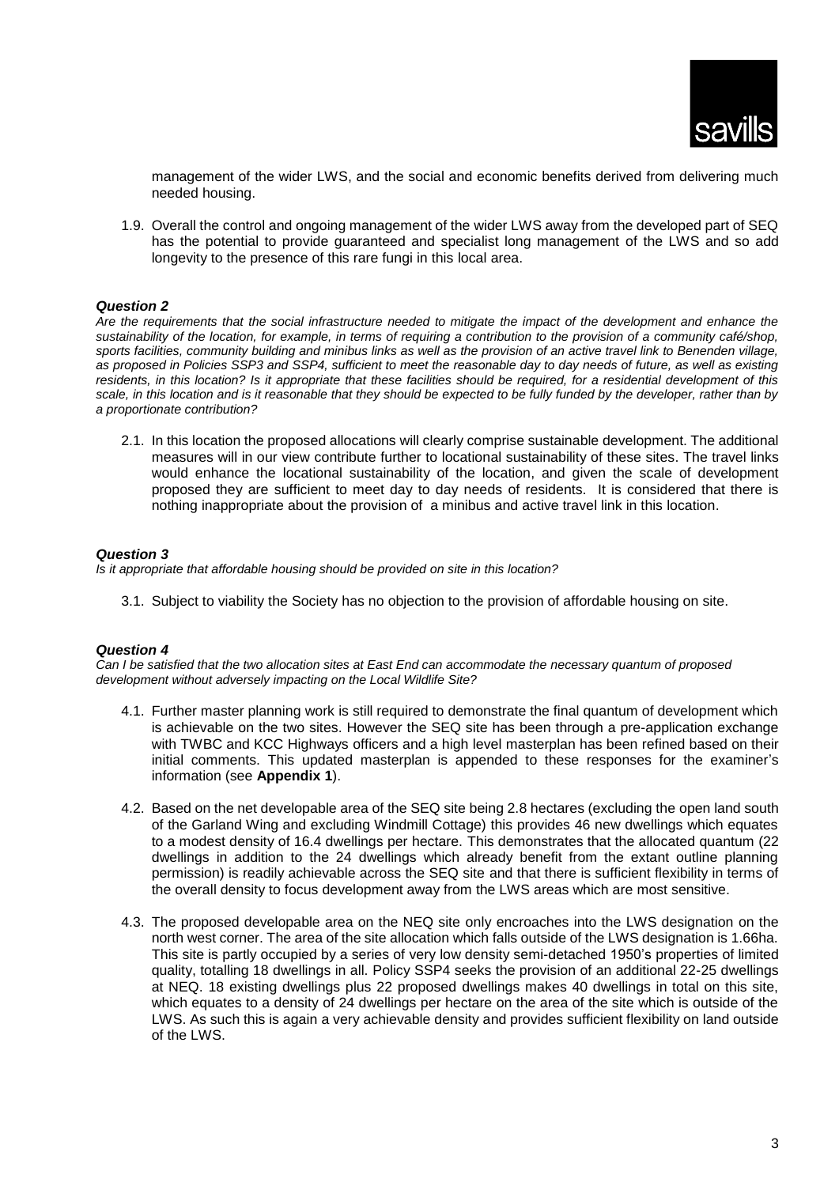

management of the wider LWS, and the social and economic benefits derived from delivering much needed housing.

1.9. Overall the control and ongoing management of the wider LWS away from the developed part of SEQ has the potential to provide guaranteed and specialist long management of the LWS and so add longevity to the presence of this rare fungi in this local area.

### *Question 2*

*Are the requirements that the social infrastructure needed to mitigate the impact of the development and enhance the sustainability of the location, for example, in terms of requiring a contribution to the provision of a community café/shop, sports facilities, community building and minibus links as well as the provision of an active travel link to Benenden village, as proposed in Policies SSP3 and SSP4, sufficient to meet the reasonable day to day needs of future, as well as existing residents, in this location? Is it appropriate that these facilities should be required, for a residential development of this scale, in this location and is it reasonable that they should be expected to be fully funded by the developer, rather than by a proportionate contribution?*

2.1. In this location the proposed allocations will clearly comprise sustainable development. The additional measures will in our view contribute further to locational sustainability of these sites. The travel links would enhance the locational sustainability of the location, and given the scale of development proposed they are sufficient to meet day to day needs of residents. It is considered that there is nothing inappropriate about the provision of a minibus and active travel link in this location.

### *Question 3*

*Is it appropriate that affordable housing should be provided on site in this location?*

3.1. Subject to viability the Society has no objection to the provision of affordable housing on site.

### *Question 4*

*Can I be satisfied that the two allocation sites at East End can accommodate the necessary quantum of proposed development without adversely impacting on the Local Wildlife Site?*

- 4.1. Further master planning work is still required to demonstrate the final quantum of development which is achievable on the two sites. However the SEQ site has been through a pre-application exchange with TWBC and KCC Highways officers and a high level masterplan has been refined based on their initial comments. This updated masterplan is appended to these responses for the examiner's information (see **Appendix 1**).
- 4.2. Based on the net developable area of the SEQ site being 2.8 hectares (excluding the open land south of the Garland Wing and excluding Windmill Cottage) this provides 46 new dwellings which equates to a modest density of 16.4 dwellings per hectare. This demonstrates that the allocated quantum (22 dwellings in addition to the 24 dwellings which already benefit from the extant outline planning permission) is readily achievable across the SEQ site and that there is sufficient flexibility in terms of the overall density to focus development away from the LWS areas which are most sensitive.
- 4.3. The proposed developable area on the NEQ site only encroaches into the LWS designation on the north west corner. The area of the site allocation which falls outside of the LWS designation is 1.66ha. This site is partly occupied by a series of very low density semi-detached 1950's properties of limited quality, totalling 18 dwellings in all. Policy SSP4 seeks the provision of an additional 22-25 dwellings at NEQ. 18 existing dwellings plus 22 proposed dwellings makes 40 dwellings in total on this site, which equates to a density of 24 dwellings per hectare on the area of the site which is outside of the LWS. As such this is again a very achievable density and provides sufficient flexibility on land outside of the LWS.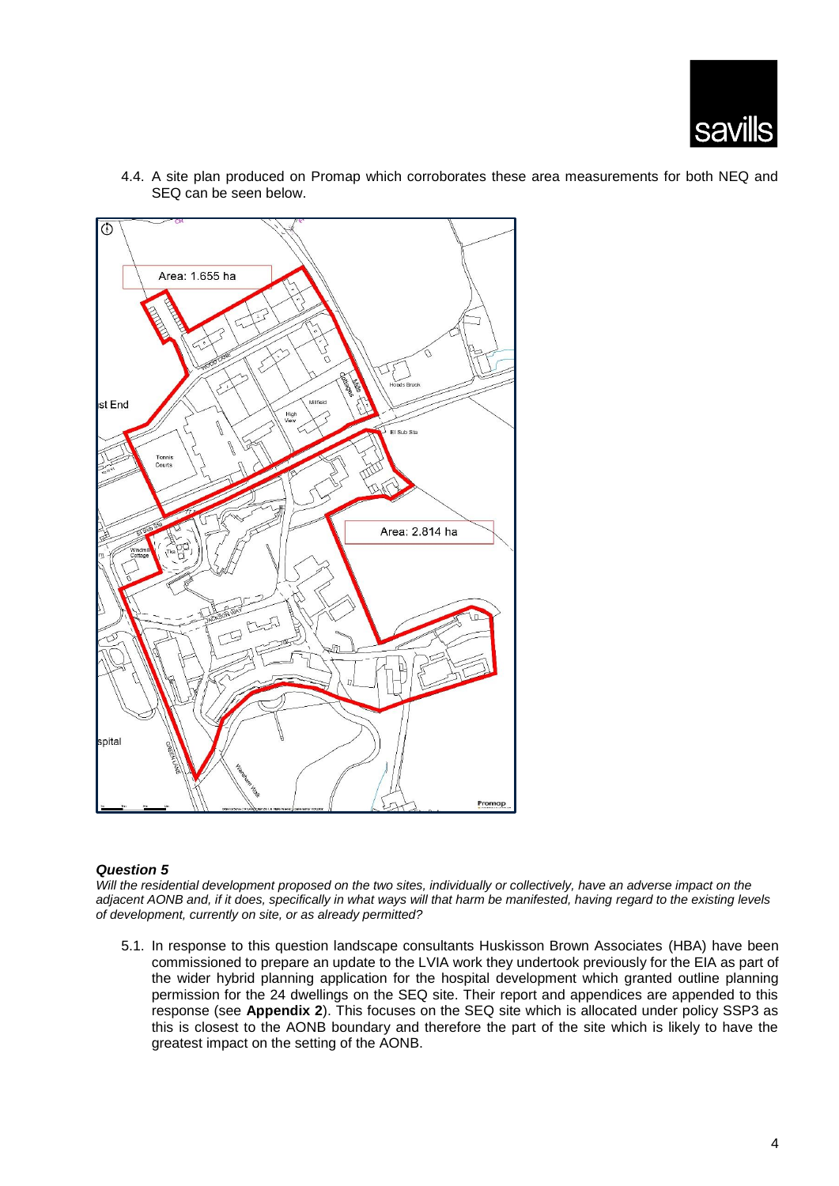



4.4. A site plan produced on Promap which corroborates these area measurements for both NEQ and SEQ can be seen below.

# *Question 5*

*Will the residential development proposed on the two sites, individually or collectively, have an adverse impact on the adjacent AONB and, if it does, specifically in what ways will that harm be manifested, having regard to the existing levels of development, currently on site, or as already permitted?*

5.1. In response to this question landscape consultants Huskisson Brown Associates (HBA) have been commissioned to prepare an update to the LVIA work they undertook previously for the EIA as part of the wider hybrid planning application for the hospital development which granted outline planning permission for the 24 dwellings on the SEQ site. Their report and appendices are appended to this response (see **Appendix 2**). This focuses on the SEQ site which is allocated under policy SSP3 as this is closest to the AONB boundary and therefore the part of the site which is likely to have the greatest impact on the setting of the AONB.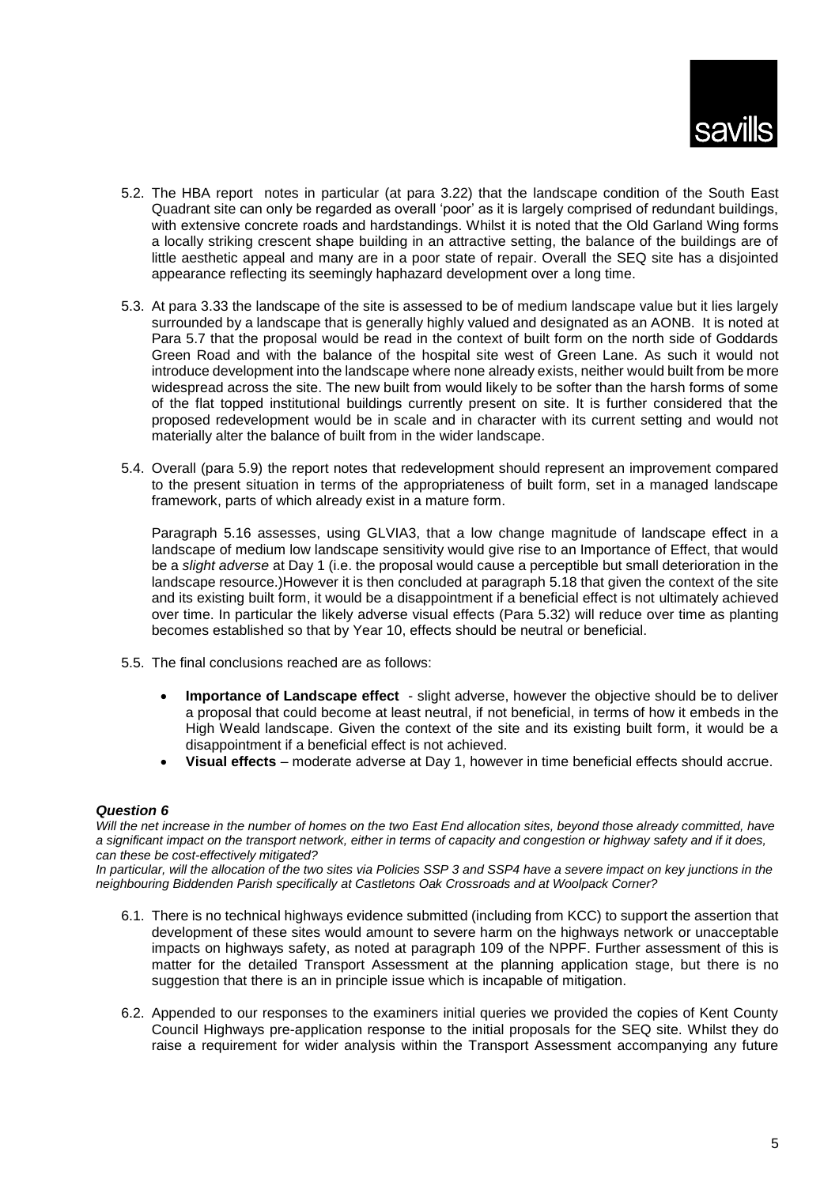

- 5.2. The HBA report notes in particular (at para 3.22) that the landscape condition of the South East Quadrant site can only be regarded as overall 'poor' as it is largely comprised of redundant buildings, with extensive concrete roads and hardstandings. Whilst it is noted that the Old Garland Wing forms a locally striking crescent shape building in an attractive setting, the balance of the buildings are of little aesthetic appeal and many are in a poor state of repair. Overall the SEQ site has a disiointed appearance reflecting its seemingly haphazard development over a long time.
- 5.3. At para 3.33 the landscape of the site is assessed to be of medium landscape value but it lies largely surrounded by a landscape that is generally highly valued and designated as an AONB. It is noted at Para 5.7 that the proposal would be read in the context of built form on the north side of Goddards Green Road and with the balance of the hospital site west of Green Lane. As such it would not introduce development into the landscape where none already exists, neither would built from be more widespread across the site. The new built from would likely to be softer than the harsh forms of some of the flat topped institutional buildings currently present on site. It is further considered that the proposed redevelopment would be in scale and in character with its current setting and would not materially alter the balance of built from in the wider landscape.
- 5.4. Overall (para 5.9) the report notes that redevelopment should represent an improvement compared to the present situation in terms of the appropriateness of built form, set in a managed landscape framework, parts of which already exist in a mature form.

Paragraph 5.16 assesses, using GLVIA3, that a low change magnitude of landscape effect in a landscape of medium low landscape sensitivity would give rise to an Importance of Effect, that would be a *slight adverse* at Day 1 (i.e. the proposal would cause a perceptible but small deterioration in the landscape resource.)However it is then concluded at paragraph 5.18 that given the context of the site and its existing built form, it would be a disappointment if a beneficial effect is not ultimately achieved over time. In particular the likely adverse visual effects (Para 5.32) will reduce over time as planting becomes established so that by Year 10, effects should be neutral or beneficial.

- 5.5. The final conclusions reached are as follows:
	- **Importance of Landscape effect** slight adverse, however the objective should be to deliver a proposal that could become at least neutral, if not beneficial, in terms of how it embeds in the High Weald landscape. Given the context of the site and its existing built form, it would be a disappointment if a beneficial effect is not achieved.
	- **Visual effects** moderate adverse at Day 1, however in time beneficial effects should accrue.

### *Question 6*

Will the net increase in the number of homes on the two East End allocation sites, beyond those already committed, have *a significant impact on the transport network, either in terms of capacity and congestion or highway safety and if it does, can these be cost-effectively mitigated?* 

*In particular, will the allocation of the two sites via Policies SSP 3 and SSP4 have a severe impact on key junctions in the neighbouring Biddenden Parish specifically at Castletons Oak Crossroads and at Woolpack Corner?*

- 6.1. There is no technical highways evidence submitted (including from KCC) to support the assertion that development of these sites would amount to severe harm on the highways network or unacceptable impacts on highways safety, as noted at paragraph 109 of the NPPF. Further assessment of this is matter for the detailed Transport Assessment at the planning application stage, but there is no suggestion that there is an in principle issue which is incapable of mitigation.
- 6.2. Appended to our responses to the examiners initial queries we provided the copies of Kent County Council Highways pre-application response to the initial proposals for the SEQ site. Whilst they do raise a requirement for wider analysis within the Transport Assessment accompanying any future